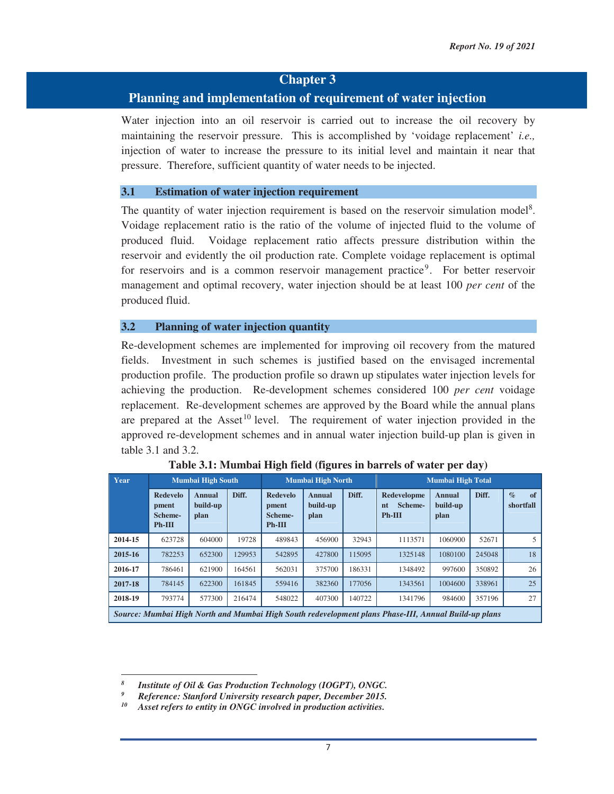# **Chapter 3**

# **Planning and implementation of requirement of water injection**

Water injection into an oil reservoir is carried out to increase the oil recovery by maintaining the reservoir pressure. This is accomplished by 'voidage replacement' *i.e.,* injection of water to increase the pressure to its initial level and maintain it near that pressure. Therefore, sufficient quantity of water needs to be injected.

#### **3.1 Estimation of water injection requirement**

The quantity of water injection requirement is based on the reservoir simulation model<sup>8</sup>. Voidage replacement ratio is the ratio of the volume of injected fluid to the volume of produced fluid. Voidage replacement ratio affects pressure distribution within the reservoir and evidently the oil production rate. Complete voidage replacement is optimal for reservoirs and is a common reservoir management practice<sup>9</sup>. For better reservoir management and optimal recovery, water injection should be at least 100 *per cent* of the produced fluid.

#### **3.2 Planning of water injection quantity**

Re-development schemes are implemented for improving oil recovery from the matured fields. Investment in such schemes is justified based on the envisaged incremental production profile. The production profile so drawn up stipulates water injection levels for achieving the production. Re-development schemes considered 100 *per cent* voidage replacement. Re-development schemes are approved by the Board while the annual plans are prepared at the Asset<sup>10</sup> level. The requirement of water injection provided in the approved re-development schemes and in annual water injection build-up plan is given in table 3.1 and 3.2.

| Year    |                                                 | <b>Mumbai High South</b>          |        |                                                 | <b>Mumbai High North</b>   |        | <b>Mumbai High Total</b>                                                                             |                                   |        |                         |  |
|---------|-------------------------------------------------|-----------------------------------|--------|-------------------------------------------------|----------------------------|--------|------------------------------------------------------------------------------------------------------|-----------------------------------|--------|-------------------------|--|
|         | <b>Redevelo</b><br>pment<br>Scheme-<br>$Ph-III$ | <b>Annual</b><br>build-up<br>plan | Diff.  | <b>Redevelo</b><br>pment<br>Scheme-<br>$Ph-III$ | Annual<br>build-up<br>plan | Diff.  | Redevelopme<br>Scheme-<br>nt<br>$Ph-III$                                                             | <b>Annual</b><br>build-up<br>plan | Diff.  | $\%$<br>of<br>shortfall |  |
| 2014-15 | 623728                                          | 604000                            | 19728  | 489843                                          | 456900                     | 32943  | 1113571                                                                                              | 1060900                           | 52671  | 5                       |  |
| 2015-16 | 782253                                          | 652300                            | 129953 | 542895                                          | 427800                     | 115095 | 1325148                                                                                              | 1080100                           | 245048 | 18                      |  |
| 2016-17 | 786461                                          | 621900                            | 164561 | 562031                                          | 375700                     | 186331 | 1348492                                                                                              | 997600                            | 350892 | 26                      |  |
| 2017-18 | 784145                                          | 622300                            | 161845 | 559416                                          | 382360                     | 177056 | 1343561                                                                                              | 1004600                           | 338961 | 25                      |  |
| 2018-19 | 793774                                          | 577300                            | 216474 | 548022                                          | 407300                     | 140722 | 1341796                                                                                              | 984600                            | 357196 | 27                      |  |
|         |                                                 |                                   |        |                                                 |                            |        | Source: Mumbai High North and Mumbai High South redevelopment plans Phase-III, Annual Build-up plans |                                   |        |                         |  |

| Table 3.1: Mumbai High field (figures in barrels of water per day) |
|--------------------------------------------------------------------|
|--------------------------------------------------------------------|

*<sup>8</sup> Institute of Oil & Gas Production Technology (IOGPT), ONGC.* 

*<sup>9</sup> Reference: Stanford University research paper, December 2015. 10 Asset refers to entity in ONGC involved in production activities.*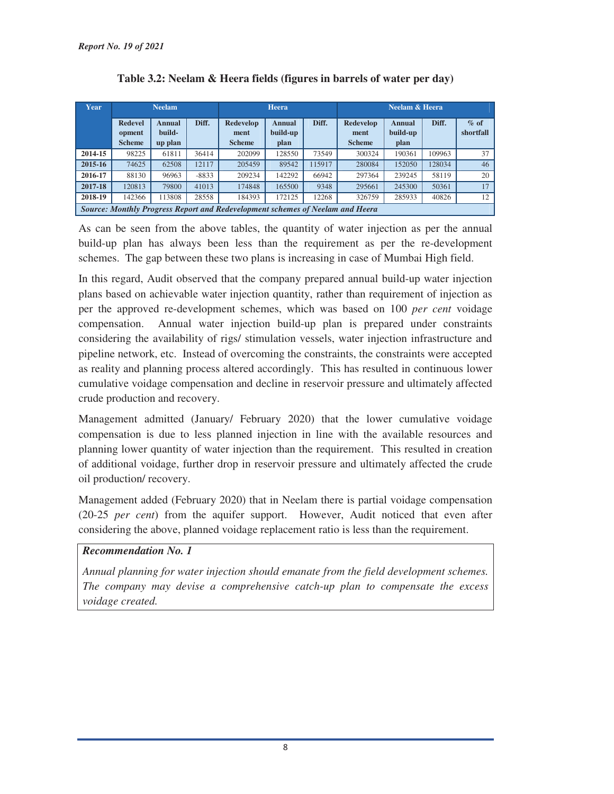| Year    |                          | <b>Neelam</b>                    |         |                                                                               | <b>Heera</b>                |        | <b>Neelam &amp; Heera</b> |                           |        |                     |  |
|---------|--------------------------|----------------------------------|---------|-------------------------------------------------------------------------------|-----------------------------|--------|---------------------------|---------------------------|--------|---------------------|--|
|         | <b>Redevel</b><br>opment | Diff.<br><b>Annual</b><br>build- |         | Redevelop<br>ment                                                             | Diff.<br>Annual<br>build-up |        | Redevelop<br>ment         | <b>Annual</b><br>build-up | Diff.  | $%$ of<br>shortfall |  |
|         | <b>Scheme</b>            | up plan                          |         | <b>Scheme</b>                                                                 | plan                        |        | <b>Scheme</b>             | plan                      |        |                     |  |
| 2014-15 | 98225                    | 61811                            | 36414   | 202099                                                                        | 128550                      | 73549  | 300324                    | 190361                    | 109963 | 37                  |  |
| 2015-16 | 74625                    | 62508                            | 12117   | 205459                                                                        | 89542                       | 115917 | 280084                    | 152050                    | 128034 | 46                  |  |
| 2016-17 | 88130                    | 96963                            | $-8833$ | 209234                                                                        | 142292                      | 66942  | 297364                    | 239245                    | 58119  | 20                  |  |
| 2017-18 | 120813                   | 79800                            | 41013   | 174848                                                                        | 165500                      | 9348   | 295661                    | 245300                    | 50361  | 17                  |  |
| 2018-19 | 142366                   | 113808                           | 28558   | 184393                                                                        | 172125                      | 12268  | 326759                    | 285933                    | 40826  | 12                  |  |
|         |                          |                                  |         | Source: Monthly Progress Report and Redevelopment schemes of Neelam and Heera |                             |        |                           |                           |        |                     |  |

| Table 3.2: Neelam & Heera fields (figures in barrels of water per day) |  |  |  |  |  |
|------------------------------------------------------------------------|--|--|--|--|--|
|------------------------------------------------------------------------|--|--|--|--|--|

As can be seen from the above tables, the quantity of water injection as per the annual build-up plan has always been less than the requirement as per the re-development schemes. The gap between these two plans is increasing in case of Mumbai High field.

In this regard, Audit observed that the company prepared annual build-up water injection plans based on achievable water injection quantity, rather than requirement of injection as per the approved re-development schemes, which was based on 100 *per cent* voidage compensation. Annual water injection build-up plan is prepared under constraints considering the availability of rigs/ stimulation vessels, water injection infrastructure and pipeline network, etc. Instead of overcoming the constraints, the constraints were accepted as reality and planning process altered accordingly. This has resulted in continuous lower cumulative voidage compensation and decline in reservoir pressure and ultimately affected crude production and recovery.

Management admitted (January/ February 2020) that the lower cumulative voidage compensation is due to less planned injection in line with the available resources and planning lower quantity of water injection than the requirement. This resulted in creation of additional voidage, further drop in reservoir pressure and ultimately affected the crude oil production/ recovery.

Management added (February 2020) that in Neelam there is partial voidage compensation (20-25 *per cent*) from the aquifer support. However, Audit noticed that even after considering the above, planned voidage replacement ratio is less than the requirement.

## *Recommendation No. 1*

*Annual planning for water injection should emanate from the field development schemes. The company may devise a comprehensive catch-up plan to compensate the excess voidage created.*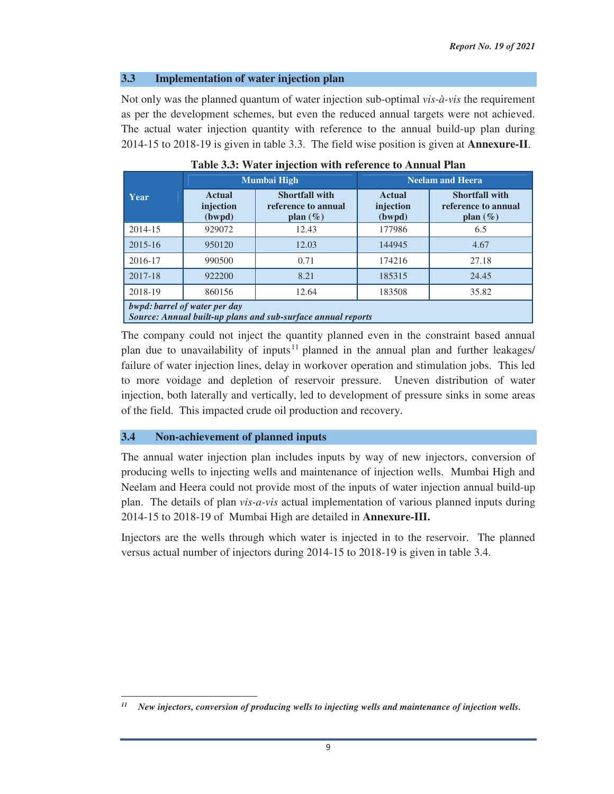#### **3.3 Implementation of water injection plan**

Not only was the planned quantum of water injection sub-optimal *vis-à-vis* the requirement as per the development schemes, but even the reduced annual targets were not achieved. The actual water injection quantity with reference to the annual build-up plan during 2014-15 to 2018-19 is given in table 3.3. The field wise position is given at **Annexure-II**.

|         |                                                                                               | <b>Mumbai High</b>                                           | <b>Neelam and Heera</b>              |                                                              |  |  |  |  |  |  |  |
|---------|-----------------------------------------------------------------------------------------------|--------------------------------------------------------------|--------------------------------------|--------------------------------------------------------------|--|--|--|--|--|--|--|
| Year    | <b>Actual</b><br>injection<br>(bwpd)                                                          | <b>Shortfall with</b><br>reference to annual<br>plan $(\% )$ | <b>Actual</b><br>injection<br>(bwpd) | <b>Shortfall with</b><br>reference to annual<br>plan $(\% )$ |  |  |  |  |  |  |  |
| 2014-15 | 929072                                                                                        | 12.43                                                        | 177986                               | 6.5                                                          |  |  |  |  |  |  |  |
| 2015-16 | 950120                                                                                        | 12.03                                                        | 144945                               | 4.67                                                         |  |  |  |  |  |  |  |
| 2016-17 | 990500                                                                                        | 0.71                                                         | 174216                               | 27.18                                                        |  |  |  |  |  |  |  |
| 2017-18 | 922200                                                                                        | 8.21                                                         | 185315                               | 24.45                                                        |  |  |  |  |  |  |  |
| 2018-19 | 860156                                                                                        | 12.64                                                        | 183508                               | 35.82                                                        |  |  |  |  |  |  |  |
|         | bwpd: barrel of water per day<br>Source: Annual built-up plans and sub-surface annual reports |                                                              |                                      |                                                              |  |  |  |  |  |  |  |

|  |  |  |  |  | Table 3.3: Water injection with reference to Annual Plan |  |  |  |
|--|--|--|--|--|----------------------------------------------------------|--|--|--|
|--|--|--|--|--|----------------------------------------------------------|--|--|--|

The company could not inject the quantity planned even in the constraint based annual plan due to unavailability of inputs<sup>11</sup> planned in the annual plan and further leakages/ failure of water injection lines, delay in workover operation and stimulation jobs. This led to more voidage and depletion of reservoir pressure. Uneven distribution of water injection, both laterally and vertically, led to development of pressure sinks in some areas of the field. This impacted crude oil production and recovery.

#### **3.4 Non-achievement of planned inputs**

<u> 1989 - Johann Stein, mars ar breithinn ar chuid ann an t-</u>

The annual water injection plan includes inputs by way of new injectors, conversion of producing wells to injecting wells and maintenance of injection wells. Mumbai High and Neelam and Heera could not provide most of the inputs of water injection annual build-up plan. The details of plan *vis-a-vis* actual implementation of various planned inputs during 2014-15 to 2018-19 of Mumbai High are detailed in **Annexure-III.**

Injectors are the wells through which water is injected in to the reservoir. The planned versus actual number of injectors during 2014-15 to 2018-19 is given in table 3.4.

*<sup>11</sup> New injectors, conversion of producing wells to injecting wells and maintenance of injection wells.*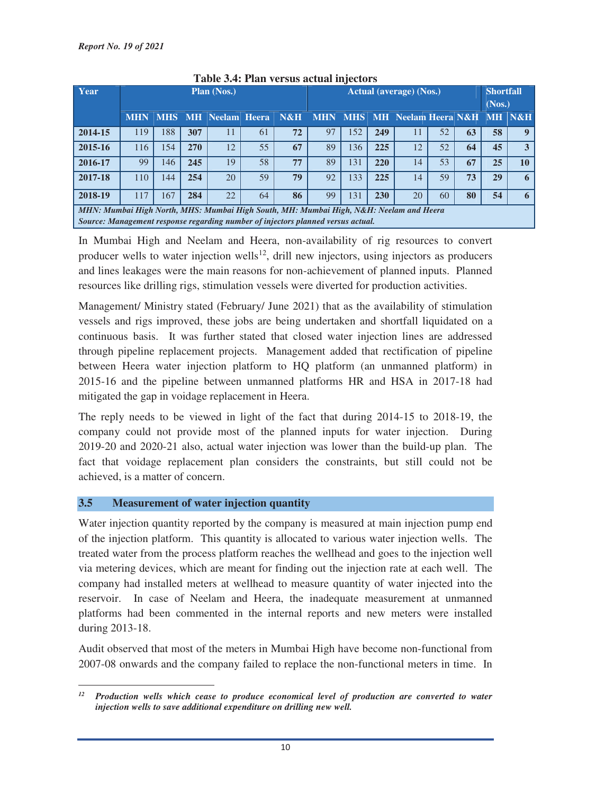| Year                                                                                   | <b>Plan (Nos.)</b>                                        |     |     |    |    |    | <b>Actual (average) (Nos.)</b>                 |     |     |    |    |    | <b>Shortfall</b> |        |
|----------------------------------------------------------------------------------------|-----------------------------------------------------------|-----|-----|----|----|----|------------------------------------------------|-----|-----|----|----|----|------------------|--------|
|                                                                                        | N&H<br><b>MHS</b><br><b>MH</b> Neelam Heera<br><b>MHN</b> |     |     |    |    |    | <b>MHN</b><br>  MHS    MH   Neelam Heera   N&H |     |     |    |    |    | (Nos.)           | MH N&H |
|                                                                                        |                                                           |     |     |    |    |    |                                                |     |     |    |    |    |                  |        |
| 2014-15                                                                                | 119                                                       | 188 | 307 | 11 | 61 | 72 | 97                                             | 152 | 249 | 11 | 52 | 63 | 58               |        |
| 2015-16                                                                                | 116                                                       | 154 | 270 | 12 | 55 | 67 | 89                                             | 136 | 225 | 12 | 52 | 64 | 45               | 3      |
| 2016-17                                                                                | 99                                                        | 146 | 245 | 19 | 58 | 77 | 89                                             | 131 | 220 | 14 | 53 | 67 | 25               | 10     |
| 2017-18                                                                                | 110                                                       | 144 | 254 | 20 | 59 | 79 | 92                                             | 133 | 225 | 14 | 59 | 73 | 29               | 6      |
| 2018-19                                                                                | 117                                                       | 167 | 284 | 22 | 64 | 86 | 99                                             | 131 | 230 | 20 | 60 | 80 | 54               |        |
| MHN: Mumbai High North, MHS: Mumbai High South, MH: Mumbai High, N&H: Neelam and Heera |                                                           |     |     |    |    |    |                                                |     |     |    |    |    |                  |        |
| Source: Management response regarding number of injectors planned versus actual.       |                                                           |     |     |    |    |    |                                                |     |     |    |    |    |                  |        |

## **Table 3.4: Plan versus actual injectors**

In Mumbai High and Neelam and Heera, non-availability of rig resources to convert producer wells to water injection wells<sup>12</sup>, drill new injectors, using injectors as producers and lines leakages were the main reasons for non-achievement of planned inputs. Planned resources like drilling rigs, stimulation vessels were diverted for production activities.

Management/ Ministry stated (February/ June 2021) that as the availability of stimulation vessels and rigs improved, these jobs are being undertaken and shortfall liquidated on a continuous basis. It was further stated that closed water injection lines are addressed through pipeline replacement projects. Management added that rectification of pipeline between Heera water injection platform to HQ platform (an unmanned platform) in 2015-16 and the pipeline between unmanned platforms HR and HSA in 2017-18 had mitigated the gap in voidage replacement in Heera.

The reply needs to be viewed in light of the fact that during 2014-15 to 2018-19, the company could not provide most of the planned inputs for water injection. During 2019-20 and 2020-21 also, actual water injection was lower than the build-up plan. The fact that voidage replacement plan considers the constraints, but still could not be achieved, is a matter of concern.

# **3.5 Measurement of water injection quantity**

Water injection quantity reported by the company is measured at main injection pump end of the injection platform. This quantity is allocated to various water injection wells. The treated water from the process platform reaches the wellhead and goes to the injection well via metering devices, which are meant for finding out the injection rate at each well. The company had installed meters at wellhead to measure quantity of water injected into the reservoir. In case of Neelam and Heera, the inadequate measurement at unmanned platforms had been commented in the internal reports and new meters were installed during 2013-18.

Audit observed that most of the meters in Mumbai High have become non-functional from 2007-08 onwards and the company failed to replace the non-functional meters in time. In

<sup>&</sup>lt;u> 1989 - Johann Stein, mars ar breithinn ar chuid ann an t-</u> *12 Production wells which cease to produce economical level of production are converted to water injection wells to save additional expenditure on drilling new well.*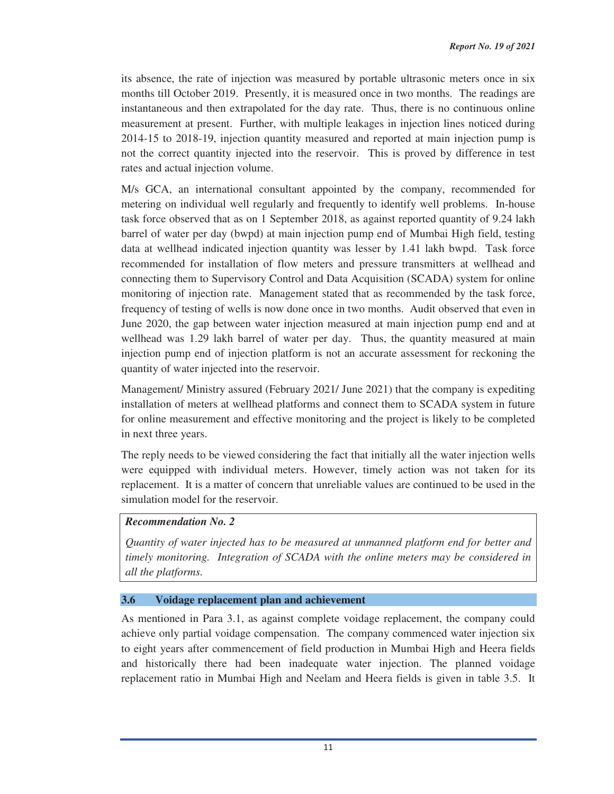its absence, the rate of injection was measured by portable ultrasonic meters once in six months till October 2019. Presently, it is measured once in two months. The readings are instantaneous and then extrapolated for the day rate. Thus, there is no continuous online measurement at present. Further, with multiple leakages in injection lines noticed during 2014-15 to 2018-19, injection quantity measured and reported at main injection pump is not the correct quantity injected into the reservoir. This is proved by difference in test rates and actual injection volume.

M/s GCA, an international consultant appointed by the company, recommended for metering on individual well regularly and frequently to identify well problems. In-house task force observed that as on 1 September 2018, as against reported quantity of 9.24 lakh barrel of water per day (bwpd) at main injection pump end of Mumbai High field, testing data at wellhead indicated injection quantity was lesser by 1.41 lakh bwpd. Task force recommended for installation of flow meters and pressure transmitters at wellhead and connecting them to Supervisory Control and Data Acquisition (SCADA) system for online monitoring of injection rate. Management stated that as recommended by the task force, frequency of testing of wells is now done once in two months. Audit observed that even in June 2020, the gap between water injection measured at main injection pump end and at wellhead was 1.29 lakh barrel of water per day. Thus, the quantity measured at main injection pump end of injection platform is not an accurate assessment for reckoning the quantity of water injected into the reservoir.

Management/ Ministry assured (February 2021/ June 2021) that the company is expediting installation of meters at wellhead platforms and connect them to SCADA system in future for online measurement and effective monitoring and the project is likely to be completed in next three years.

The reply needs to be viewed considering the fact that initially all the water injection wells were equipped with individual meters. However, timely action was not taken for its replacement. It is a matter of concern that unreliable values are continued to be used in the simulation model for the reservoir.

# *Recommendation No. 2*

*Quantity of water injected has to be measured at unmanned platform end for better and timely monitoring. Integration of SCADA with the online meters may be considered in all the platforms.*

## **3.6 Voidage replacement plan and achievement**

As mentioned in Para 3.1, as against complete voidage replacement, the company could achieve only partial voidage compensation. The company commenced water injection six to eight years after commencement of field production in Mumbai High and Heera fields and historically there had been inadequate water injection. The planned voidage replacement ratio in Mumbai High and Neelam and Heera fields is given in table 3.5. It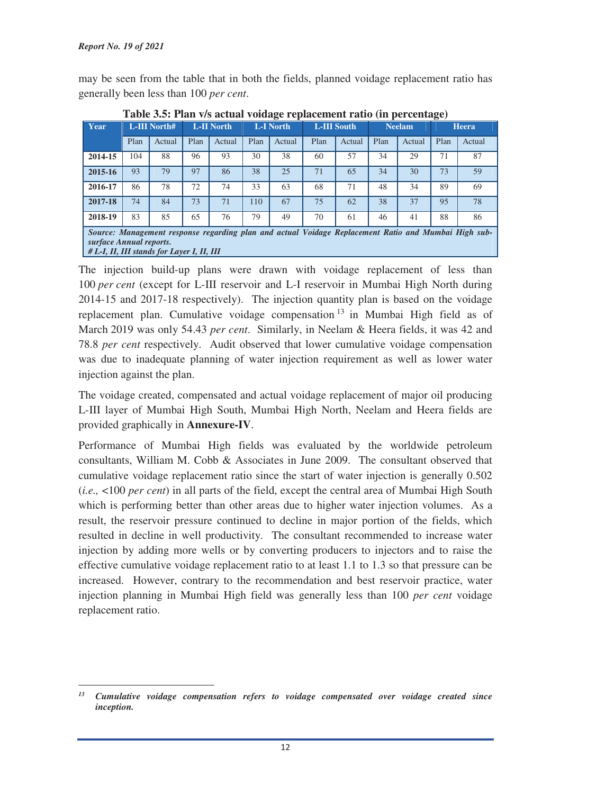may be seen from the table that in both the fields, planned voidage replacement ratio has generally been less than 100 *per cent*.

|                                                                       | Table Jist Than 179 actual voluge replacement ratio (in percentage) |        |                   |        |      |                  |      |                    |      |               |      |                                                                                                      |  |
|-----------------------------------------------------------------------|---------------------------------------------------------------------|--------|-------------------|--------|------|------------------|------|--------------------|------|---------------|------|------------------------------------------------------------------------------------------------------|--|
| Year                                                                  | L-III North#                                                        |        | <b>L-II North</b> |        |      | <b>L-I North</b> |      | <b>L-III South</b> |      | <b>Neelam</b> |      | <b>Heera</b>                                                                                         |  |
|                                                                       | Plan                                                                | Actual | Plan              | Actual | Plan | Actual           | Plan | Actual             | Plan | Actual        | Plan | Actual                                                                                               |  |
| 2014-15                                                               | 104                                                                 | 88     | 96                | 93     | 30   | 38               | 60   | 57                 | 34   | 29            | 71   | 87                                                                                                   |  |
| 2015-16                                                               | 93                                                                  | 79     | 97                | 86     | 38   | 25               | 71   | 65                 | 34   | 30            | 73   | 59                                                                                                   |  |
| 2016-17                                                               | 86                                                                  | 78     | 72                | 74     | 33   | 63               | 68   | 71                 | 48   | 34            | 89   | 69                                                                                                   |  |
| 2017-18                                                               | 74                                                                  | 84     | 73                | 71     | 110  | 67               | 75   | 62                 | 38   | 37            | 95   | 78                                                                                                   |  |
| 2018-19                                                               | 83                                                                  | 85     | 65                | 76     | 79   | 49               | 70   | 61                 | 46   | 41            | 88   | 86                                                                                                   |  |
| surface Annual reports.<br># L-I, II, III stands for Layer I, II, III |                                                                     |        |                   |        |      |                  |      |                    |      |               |      | Source: Management response regarding plan and actual Voidage Replacement Ratio and Mumbai High sub- |  |

**Table 3.5: Plan v/s actual voidage replacement ratio (in percentage)** 

The injection build-up plans were drawn with voidage replacement of less than 100 *per cent* (except for L-III reservoir and L-I reservoir in Mumbai High North during 2014-15 and 2017-18 respectively). The injection quantity plan is based on the voidage replacement plan. Cumulative voidage compensation 13 in Mumbai High field as of March 2019 was only 54.43 *per cent*. Similarly, in Neelam & Heera fields, it was 42 and 78.8 *per cent* respectively. Audit observed that lower cumulative voidage compensation was due to inadequate planning of water injection requirement as well as lower water injection against the plan.

The voidage created, compensated and actual voidage replacement of major oil producing L-III layer of Mumbai High South, Mumbai High North, Neelam and Heera fields are provided graphically in **Annexure-IV**.

Performance of Mumbai High fields was evaluated by the worldwide petroleum consultants, William M. Cobb & Associates in June 2009. The consultant observed that cumulative voidage replacement ratio since the start of water injection is generally 0.502 (*i.e.,* <100 *per cent*) in all parts of the field, except the central area of Mumbai High South which is performing better than other areas due to higher water injection volumes. As a result, the reservoir pressure continued to decline in major portion of the fields, which resulted in decline in well productivity. The consultant recommended to increase water injection by adding more wells or by converting producers to injectors and to raise the effective cumulative voidage replacement ratio to at least 1.1 to 1.3 so that pressure can be increased. However, contrary to the recommendation and best reservoir practice, water injection planning in Mumbai High field was generally less than 100 *per cent* voidage replacement ratio.

<sup>&</sup>lt;u> 1989 - Johann Stein, mars ar breithinn ar chuid ann an t-</u> *<sup>13</sup> Cumulative voidage compensation refers to voidage compensated over voidage created since inception.*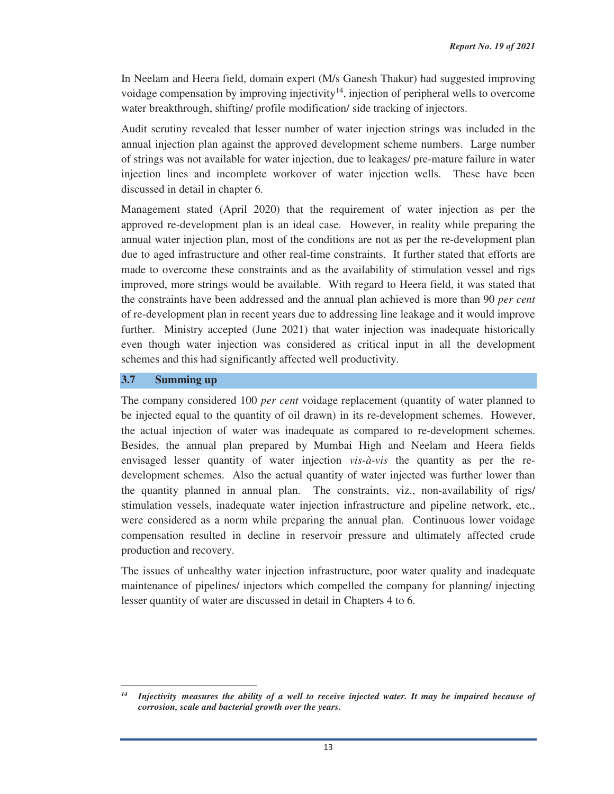In Neelam and Heera field, domain expert (M/s Ganesh Thakur) had suggested improving voidage compensation by improving injectivity<sup>14</sup>, injection of peripheral wells to overcome water breakthrough, shifting/ profile modification/ side tracking of injectors.

Audit scrutiny revealed that lesser number of water injection strings was included in the annual injection plan against the approved development scheme numbers. Large number of strings was not available for water injection, due to leakages/ pre-mature failure in water injection lines and incomplete workover of water injection wells. These have been discussed in detail in chapter 6.

Management stated (April 2020) that the requirement of water injection as per the approved re-development plan is an ideal case. However, in reality while preparing the annual water injection plan, most of the conditions are not as per the re-development plan due to aged infrastructure and other real-time constraints. It further stated that efforts are made to overcome these constraints and as the availability of stimulation vessel and rigs improved, more strings would be available. With regard to Heera field, it was stated that the constraints have been addressed and the annual plan achieved is more than 90 *per cent* of re-development plan in recent years due to addressing line leakage and it would improve further. Ministry accepted (June 2021) that water injection was inadequate historically even though water injection was considered as critical input in all the development schemes and this had significantly affected well productivity.

## **3.7 Summing up**

The company considered 100 *per cent* voidage replacement (quantity of water planned to be injected equal to the quantity of oil drawn) in its re-development schemes. However, the actual injection of water was inadequate as compared to re-development schemes. Besides, the annual plan prepared by Mumbai High and Neelam and Heera fields envisaged lesser quantity of water injection *vis-à-vis* the quantity as per the redevelopment schemes. Also the actual quantity of water injected was further lower than the quantity planned in annual plan. The constraints, viz., non-availability of rigs/ stimulation vessels, inadequate water injection infrastructure and pipeline network, etc., were considered as a norm while preparing the annual plan. Continuous lower voidage compensation resulted in decline in reservoir pressure and ultimately affected crude production and recovery.

The issues of unhealthy water injection infrastructure, poor water quality and inadequate maintenance of pipelines/ injectors which compelled the company for planning/ injecting lesser quantity of water are discussed in detail in Chapters 4 to 6*.* 

<sup>&</sup>lt;u> 1989 - Johann Stein, mars ar breithinn ar chuid ann an t-</u> *14 Injectivity measures the ability of a well to receive injected water. It may be impaired because of corrosion, scale and bacterial growth over the years.*